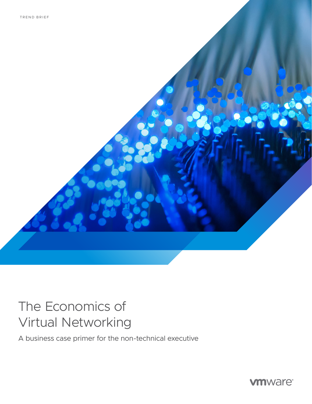# The Economics of Virtual Networking

A business case primer for the non-technical executive

**vmware®**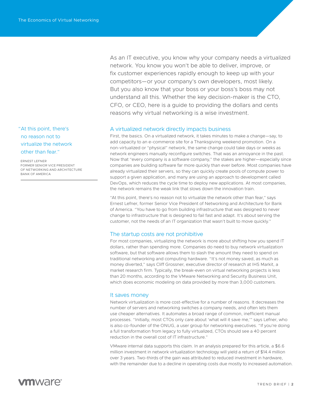"At this point, there's no reason not to virtualize the network other than fear."

ERNEST LEFNER FORMER SENIOR VICE PRESIDENT OF NETWORKING AND ARCHITECTURE BANK OF AMERICA

As an IT executive, you know why your company needs a virtualized network. You know you won't be able to deliver, improve, or fix customer experiences rapidly enough to keep up with your competitors—or your company's own developers, most likely. But you also know that your boss or your boss's boss may not understand all this. Whether the key decision-maker is the CTO, CFO, or CEO, here is a guide to providing the dollars and cents reasons why virtual networking is a wise investment.

### A virtualized network directly impacts business

First, the basics. On a virtualized network, it takes minutes to make a change—say, to add capacity to an e-commerce site for a Thanksgiving weekend promotion. On a non-virtualized or "physical" network, the same change could take days or weeks as network engineers manually reconfigure switches. That was an annoyance in the past. Now that "every company is a software company," the stakes are higher—especially since companies are building software far more quickly than ever before. Most companies have already virtualized their servers, so they can quickly create pools of compute power to support a given application, and many are using an approach to development called DevOps, which reduces the cycle time to deploy new applications. At most companies, the network remains the weak link that slows down the innovation train.

"At this point, there's no reason not to virtualize the network other than fear," says Ernest Lefner, former Senior Vice President of Networking and Architecture for Bank of America. "You have to go from building infrastructure that was designed to never change to infrastructure that is designed to fail fast and adapt. It's about serving the customer, not the needs of an IT organization that wasn't built to move quickly."

#### The startup costs are not prohibitive

For most companies, virtualizing the network is more about shifting how you spend IT dollars, rather than spending more. Companies do need to buy network virtualization software, but that software allows them to slash the amount they need to spend on traditional networking and computing hardware. "It's not money saved, as much as money diverted," says Cliff Grossner, executive director of research at IHS Markit, a market research firm. Typically, the break-even on virtual networking projects is less than 20 months, according to the VMware Networking and Security Business Unit, which does economic modeling on data provided by more than 3,000 customers.

#### It saves money

Network virtualization is more cost-effective for a number of reasons. It decreases the number of servers and networking switches a company needs, and often lets them use cheaper alternatives. It automates a broad range of common, inefficient manual processes. "Initially, most CTOs only care about 'what will it save me,'" says Lefner, who is also co-founder of the ONUG, a user group for networking executives. "If you're doing a full transformation from legacy to fully virtualized, CTOs should see a 40 percent reduction in the overall cost of IT infrastructure."

VMware internal data supports this claim. In an analysis prepared for this article, a \$6.6 million investment in network virtualization technology will yield a return of \$14.4 million over 3 years. Two-thirds of the gain was attributed to reduced investment in hardware, with the remainder due to a decline in operating costs due mostly to increased automation.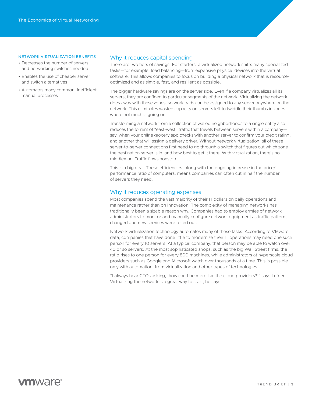#### NETWORK VIRTUALIZATION BENEFITS

- Decreases the number of servers and networking switches needed
- Enables the use of cheaper server and switch alternatives
- Automates many common, inefficient manual processes

#### Why it reduces capital spending

There are two tiers of savings. For starters, a virtualized network shifts many specialized tasks—for example, load balancing—from expensive physical devices into the virtual software. This allows companies to focus on building a physical network that is resourceoptimized and as simple, fast, and resilient as possible.

The bigger hardware savings are on the server side. Even if a company virtualizes all its servers, they are confined to particular segments of the network. Virtualizing the network does away with these zones, so workloads can be assigned to any server anywhere on the network. This eliminates wasted capacity on servers left to twiddle their thumbs in zones where not much is going on.

Transforming a network from a collection of walled neighborhoods to a single entity also reduces the torrent of "east-west" traffic that travels between servers within a company say, when your online grocery app checks with another server to confirm your credit rating, and another that will assign a delivery driver. Without network virtualization, all of these server-to-server connections first need to go through a switch that figures out which zone the destination server is in, and how best to get it there. With virtualization, there's no middleman. Traffic flows nonstop.

This is a big deal. These efficiencies, along with the ongoing increase in the price/ performance ratio of computers, means companies can often cut in half the number of servers they need.

#### Why it reduces operating expenses

Most companies spend the vast majority of their IT dollars on daily operations and maintenance rather than on innovation. The complexity of managing networks has traditionally been a sizable reason why. Companies had to employ armies of network administrators to monitor and manually configure network equipment as traffic patterns changed and new services were rolled out.

Network virtualization technology automates many of these tasks. According to VMware data, companies that have done little to modernize their IT operations may need one such person for every 10 servers. At a typical company, that person may be able to watch over 40 or so servers. At the most sophisticated shops, such as the big Wall Street firms, the ratio rises to one person for every 800 machines, while administrators at hyperscale cloud providers such as Google and Microsoft watch over thousands at a time. This is possible only with automation, from virtualization and other types of technologies.

"I always hear CTOs asking, 'how can I be more like the cloud providers?'" says Lefner. Virtualizing the network is a great way to start, he says.

# **vm**ware<sup>®</sup>